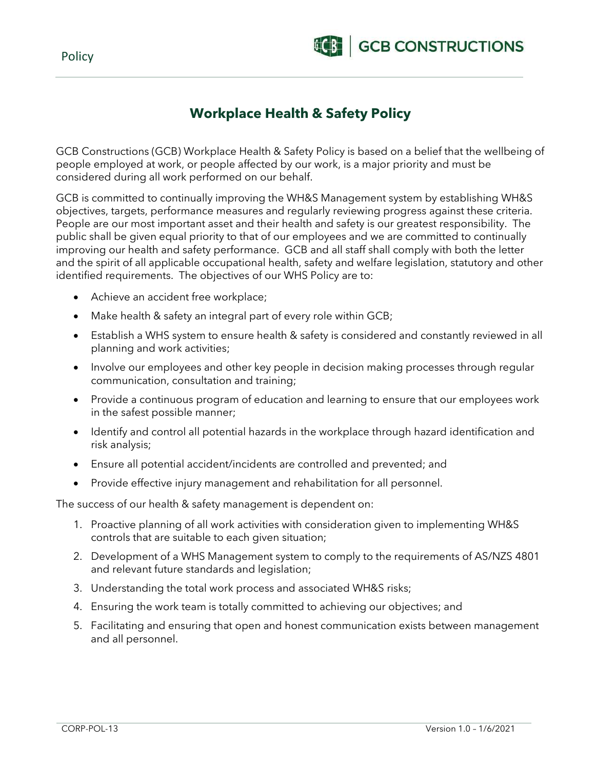Policy



## **Workplace Health & Safety Policy**

GCB Constructions (GCB) Workplace Health & Safety Policy is based on a belief that the wellbeing of people employed at work, or people affected by our work, is a major priority and must be considered during all work performed on our behalf.

GCB is committed to continually improving the WH&S Management system by establishing WH&S objectives, targets, performance measures and regularly reviewing progress against these criteria. People are our most important asset and their health and safety is our greatest responsibility. The public shall be given equal priority to that of our employees and we are committed to continually improving our health and safety performance. GCB and all staff shall comply with both the letter and the spirit of all applicable occupational health, safety and welfare legislation, statutory and other identified requirements. The objectives of our WHS Policy are to:

- Achieve an accident free workplace;
- Make health & safety an integral part of every role within GCB;
- Establish a WHS system to ensure health & safety is considered and constantly reviewed in all planning and work activities;
- Involve our employees and other key people in decision making processes through regular communication, consultation and training;
- Provide a continuous program of education and learning to ensure that our employees work in the safest possible manner;
- Identify and control all potential hazards in the workplace through hazard identification and risk analysis;
- Ensure all potential accident/incidents are controlled and prevented; and
- Provide effective injury management and rehabilitation for all personnel.

The success of our health & safety management is dependent on:

- 1. Proactive planning of all work activities with consideration given to implementing WH&S controls that are suitable to each given situation;
- 2. Development of a WHS Management system to comply to the requirements of AS/NZS 4801 and relevant future standards and legislation;
- 3. Understanding the total work process and associated WH&S risks;
- 4. Ensuring the work team is totally committed to achieving our objectives; and
- 5. Facilitating and ensuring that open and honest communication exists between management and all personnel.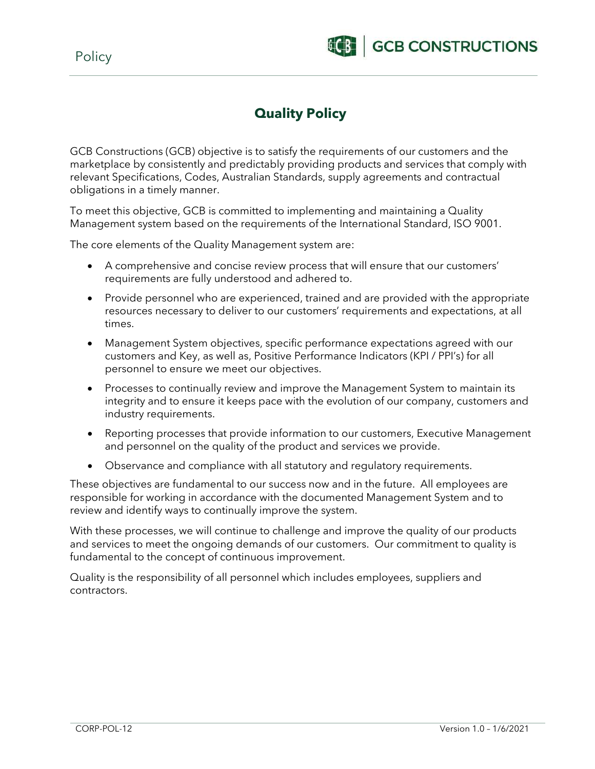

# **Quality Policy**

GCB Constructions (GCB) objective is to satisfy the requirements of our customers and the marketplace by consistently and predictably providing products and services that comply with relevant Specifications, Codes, Australian Standards, supply agreements and contractual obligations in a timely manner.

To meet this objective, GCB is committed to implementing and maintaining a Quality Management system based on the requirements of the International Standard, ISO 9001.

The core elements of the Quality Management system are:

- A comprehensive and concise review process that will ensure that our customers' requirements are fully understood and adhered to.
- Provide personnel who are experienced, trained and are provided with the appropriate resources necessary to deliver to our customers' requirements and expectations, at all times.
- Management System objectives, specific performance expectations agreed with our customers and Key, as well as, Positive Performance Indicators (KPI / PPI's) for all personnel to ensure we meet our objectives.
- Processes to continually review and improve the Management System to maintain its integrity and to ensure it keeps pace with the evolution of our company, customers and industry requirements.
- Reporting processes that provide information to our customers, Executive Management and personnel on the quality of the product and services we provide.
- Observance and compliance with all statutory and regulatory requirements.

These objectives are fundamental to our success now and in the future. All employees are responsible for working in accordance with the documented Management System and to review and identify ways to continually improve the system.

With these processes, we will continue to challenge and improve the quality of our products and services to meet the ongoing demands of our customers. Our commitment to quality is fundamental to the concept of continuous improvement.

Quality is the responsibility of all personnel which includes employees, suppliers and contractors.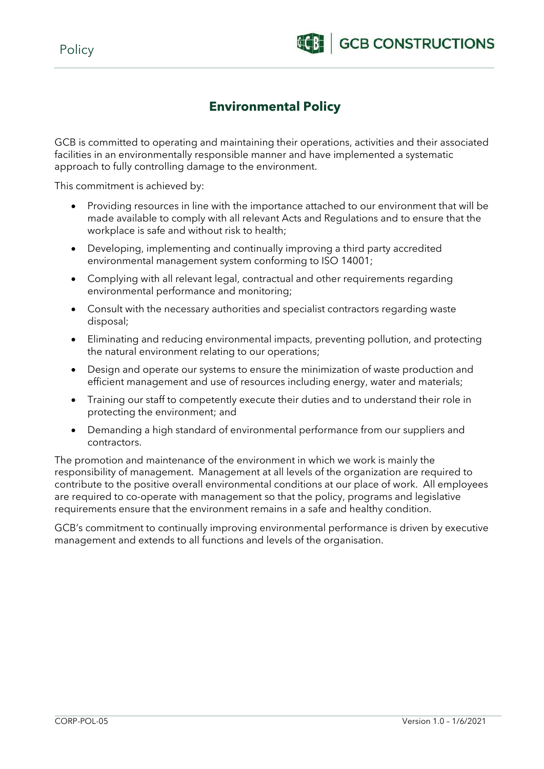# **Environmental Policy**

GCB is committed to operating and maintaining their operations, activities and their associated facilities in an environmentally responsible manner and have implemented a systematic approach to fully controlling damage to the environment.

This commitment is achieved by:

- Providing resources in line with the importance attached to our environment that will be made available to comply with all relevant Acts and Regulations and to ensure that the workplace is safe and without risk to health;
- Developing, implementing and continually improving a third party accredited environmental management system conforming to ISO 14001;
- Complying with all relevant legal, contractual and other requirements regarding environmental performance and monitoring;
- Consult with the necessary authorities and specialist contractors regarding waste disposal;
- Eliminating and reducing environmental impacts, preventing pollution, and protecting the natural environment relating to our operations;
- Design and operate our systems to ensure the minimization of waste production and efficient management and use of resources including energy, water and materials;
- Training our staff to competently execute their duties and to understand their role in protecting the environment; and
- Demanding a high standard of environmental performance from our suppliers and contractors.

The promotion and maintenance of the environment in which we work is mainly the responsibility of management. Management at all levels of the organization are required to contribute to the positive overall environmental conditions at our place of work. All employees are required to co-operate with management so that the policy, programs and legislative requirements ensure that the environment remains in a safe and healthy condition.

GCB's commitment to continually improving environmental performance is driven by executive management and extends to all functions and levels of the organisation.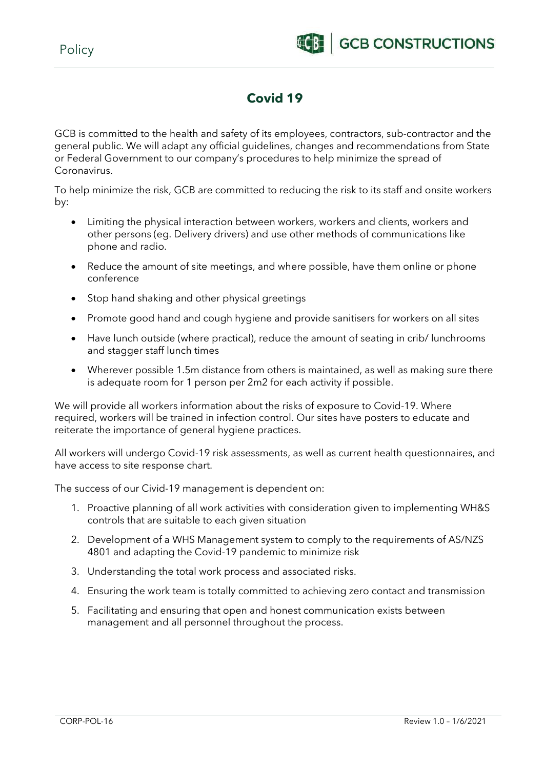# **Covid 19**

GCB is committed to the health and safety of its employees, contractors, sub-contractor and the general public. We will adapt any official guidelines, changes and recommendations from State or Federal Government to our company's procedures to help minimize the spread of Coronavirus.

To help minimize the risk, GCB are committed to reducing the risk to its staff and onsite workers by:

- Limiting the physical interaction between workers, workers and clients, workers and other persons (eg. Delivery drivers) and use other methods of communications like phone and radio.
- Reduce the amount of site meetings, and where possible, have them online or phone conference
- Stop hand shaking and other physical greetings
- Promote good hand and cough hygiene and provide sanitisers for workers on all sites
- Have lunch outside (where practical), reduce the amount of seating in crib/ lunchrooms and stagger staff lunch times
- Wherever possible 1.5m distance from others is maintained, as well as making sure there is adequate room for 1 person per 2m2 for each activity if possible.

We will provide all workers information about the risks of exposure to Covid-19. Where required, workers will be trained in infection control. Our sites have posters to educate and reiterate the importance of general hygiene practices.

All workers will undergo Covid-19 risk assessments, as well as current health questionnaires, and have access to site response chart.

The success of our Civid-19 management is dependent on:

- 1. Proactive planning of all work activities with consideration given to implementing WH&S controls that are suitable to each given situation
- 2. Development of a WHS Management system to comply to the requirements of AS/NZS 4801 and adapting the Covid-19 pandemic to minimize risk
- 3. Understanding the total work process and associated risks.
- 4. Ensuring the work team is totally committed to achieving zero contact and transmission
- 5. Facilitating and ensuring that open and honest communication exists between management and all personnel throughout the process.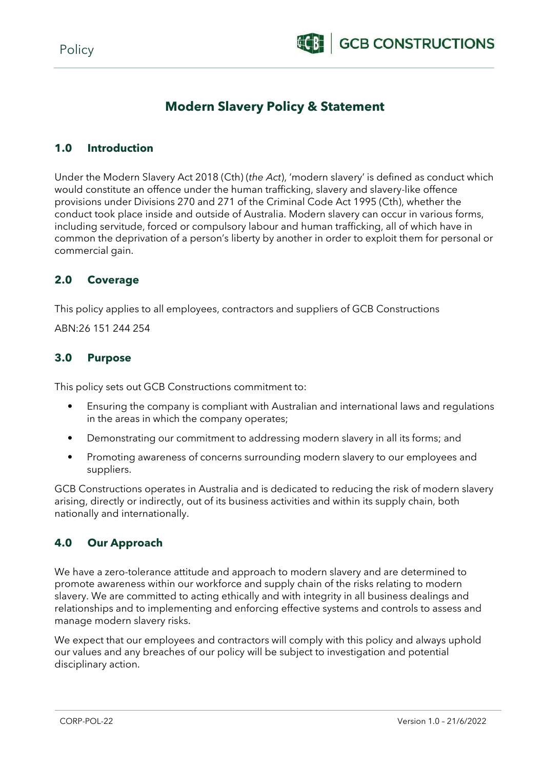

## **Modern Slavery Policy & Statement**

### **1.0 Introduction**

Under the Modern Slavery Act 2018 (Cth) (*the Act*), 'modern slavery' is defined as conduct which would constitute an offence under the human trafficking, slavery and slavery-like offence provisions under Divisions 270 and 271 of the Criminal Code Act 1995 (Cth), whether the conduct took place inside and outside of Australia. Modern slavery can occur in various forms, including servitude, forced or compulsory labour and human trafficking, all of which have in common the deprivation of a person's liberty by another in order to exploit them for personal or commercial gain.

### **2.0 Coverage**

This policy applies to all employees, contractors and suppliers of GCB Constructions

ABN:26 151 244 254

#### **3.0 Purpose**

This policy sets out GCB Constructions commitment to:

- Ensuring the company is compliant with Australian and international laws and regulations in the areas in which the company operates;
- Demonstrating our commitment to addressing modern slavery in all its forms; and
- Promoting awareness of concerns surrounding modern slavery to our employees and suppliers.

GCB Constructions operates in Australia and is dedicated to reducing the risk of modern slavery arising, directly or indirectly, out of its business activities and within its supply chain, both nationally and internationally.

### **4.0 Our Approach**

We have a zero-tolerance attitude and approach to modern slavery and are determined to promote awareness within our workforce and supply chain of the risks relating to modern slavery. We are committed to acting ethically and with integrity in all business dealings and relationships and to implementing and enforcing effective systems and controls to assess and manage modern slavery risks.

We expect that our employees and contractors will comply with this policy and always uphold our values and any breaches of our policy will be subject to investigation and potential disciplinary action.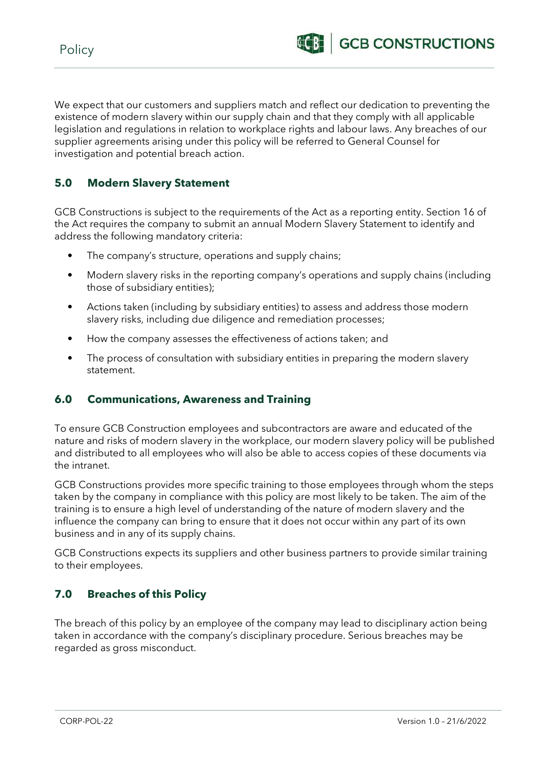We expect that our customers and suppliers match and reflect our dedication to preventing the existence of modern slavery within our supply chain and that they comply with all applicable legislation and regulations in relation to workplace rights and labour laws. Any breaches of our supplier agreements arising under this policy will be referred to General Counsel for investigation and potential breach action.

## **5.0 Modern Slavery Statement**

GCB Constructions is subject to the requirements of the Act as a reporting entity. Section 16 of the Act requires the company to submit an annual Modern Slavery Statement to identify and address the following mandatory criteria:

- The company's structure, operations and supply chains;
- Modern slavery risks in the reporting company's operations and supply chains (including those of subsidiary entities);
- Actions taken (including by subsidiary entities) to assess and address those modern slavery risks, including due diligence and remediation processes;
- How the company assesses the effectiveness of actions taken; and
- The process of consultation with subsidiary entities in preparing the modern slavery statement.

### **6.0 Communications, Awareness and Training**

To ensure GCB Construction employees and subcontractors are aware and educated of the nature and risks of modern slavery in the workplace, our modern slavery policy will be published and distributed to all employees who will also be able to access copies of these documents via the intranet.

GCB Constructions provides more specific training to those employees through whom the steps taken by the company in compliance with this policy are most likely to be taken. The aim of the training is to ensure a high level of understanding of the nature of modern slavery and the influence the company can bring to ensure that it does not occur within any part of its own business and in any of its supply chains.

GCB Constructions expects its suppliers and other business partners to provide similar training to their employees.

### **7.0 Breaches of this Policy**

The breach of this policy by an employee of the company may lead to disciplinary action being taken in accordance with the company's disciplinary procedure. Serious breaches may be regarded as gross misconduct.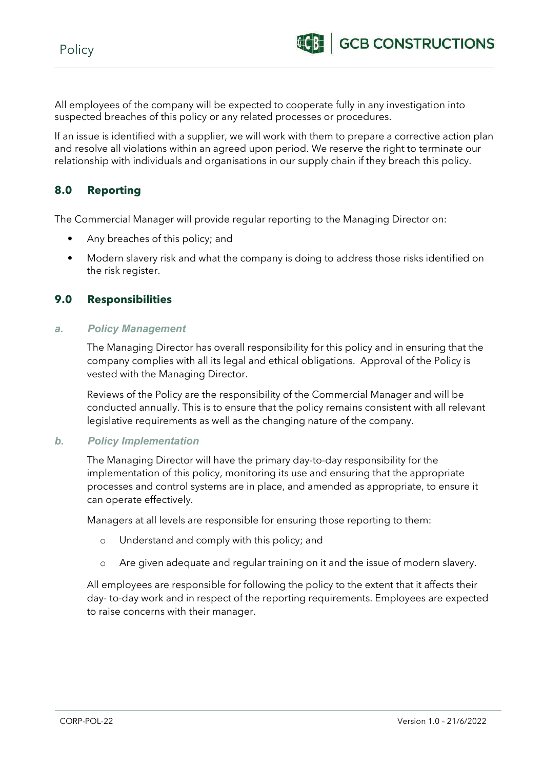All employees of the company will be expected to cooperate fully in any investigation into suspected breaches of this policy or any related processes or procedures.

If an issue is identified with a supplier, we will work with them to prepare a corrective action plan and resolve all violations within an agreed upon period. We reserve the right to terminate our relationship with individuals and organisations in our supply chain if they breach this policy.

### **8.0 Reporting**

The Commercial Manager will provide regular reporting to the Managing Director on:

- Any breaches of this policy; and
- Modern slavery risk and what the company is doing to address those risks identified on the risk register.

### **9.0 Responsibilities**

#### *a. Policy Management*

The Managing Director has overall responsibility for this policy and in ensuring that the company complies with all its legal and ethical obligations. Approval of the Policy is vested with the Managing Director.

Reviews of the Policy are the responsibility of the Commercial Manager and will be conducted annually. This is to ensure that the policy remains consistent with all relevant legislative requirements as well as the changing nature of the company.

#### *b. Policy Implementation*

The Managing Director will have the primary day-to-day responsibility for the implementation of this policy, monitoring its use and ensuring that the appropriate processes and control systems are in place, and amended as appropriate, to ensure it can operate effectively.

Managers at all levels are responsible for ensuring those reporting to them:

- o Understand and comply with this policy; and
- o Are given adequate and regular training on it and the issue of modern slavery.

All employees are responsible for following the policy to the extent that it affects their day- to-day work and in respect of the reporting requirements. Employees are expected to raise concerns with their manager.